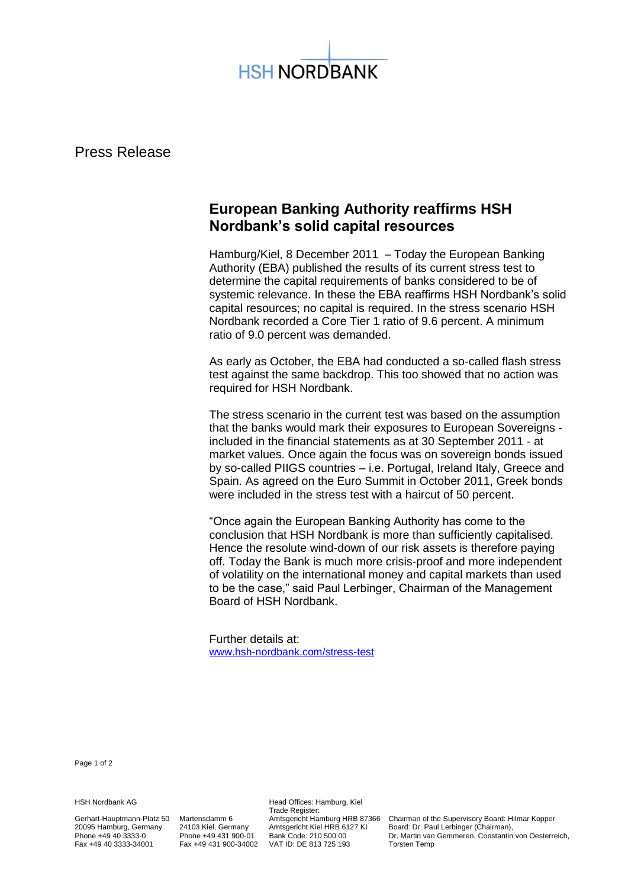

Press Release

## **European Banking Authority reaffirms HSH Nordbank's solid capital resources**

Hamburg/Kiel, 8 December 2011 – Today the European Banking Authority (EBA) published the results of its current stress test to determine the capital requirements of banks considered to be of systemic relevance. In these the EBA reaffirms HSH Nordbank's solid capital resources; no capital is required. In the stress scenario HSH Nordbank recorded a Core Tier 1 ratio of 9.6 percent. A minimum ratio of 9.0 percent was demanded.

As early as October, the EBA had conducted a so-called flash stress test against the same backdrop. This too showed that no action was required for HSH Nordbank.

The stress scenario in the current test was based on the assumption that the banks would mark their exposures to European Sovereigns included in the financial statements as at 30 September 2011 - at market values. Once again the focus was on sovereign bonds issued by so-called PIIGS countries – i.e. Portugal, Ireland Italy, Greece and Spain. As agreed on the Euro Summit in October 2011, Greek bonds were included in the stress test with a haircut of 50 percent.

"Once again the European Banking Authority has come to the conclusion that HSH Nordbank is more than sufficiently capitalised. Hence the resolute wind-down of our risk assets is therefore paying off. Today the Bank is much more crisis-proof and more independent of volatility on the international money and capital markets than used to be the case," said Paul Lerbinger, Chairman of the Management Board of HSH Nordbank.

Further details at: [www.hsh-nordbank.com/stress-test](http://www.hsh-nordbank.com/stress-test)

Page 1 of 2

HSH Nordbank AG **Head Offices: Hamburg, Kiel** 

Trade Register:<br>Amtsgericht Hamburg HRB 87366 VAT ID: DE 813 725 193

Gerhart-Hauptmann-Platz 50 Martensdamm 6 Amtsgericht Hamburg HRB 87366 Chairman of the Supervisory Board: Hilmar Kopper 20095 Hamburg, Germany 24103 Kiel, Germany Amtsgericht Kiel HRB 6127 KI Board: Dr. Paul Lerbinger (Chairman), Phone +49 40 3333-0 Phone +49 431 900-01 Bank Code: 210 500 00 Dr. Martin van Gemmeren, Constantin von Oesterreich,